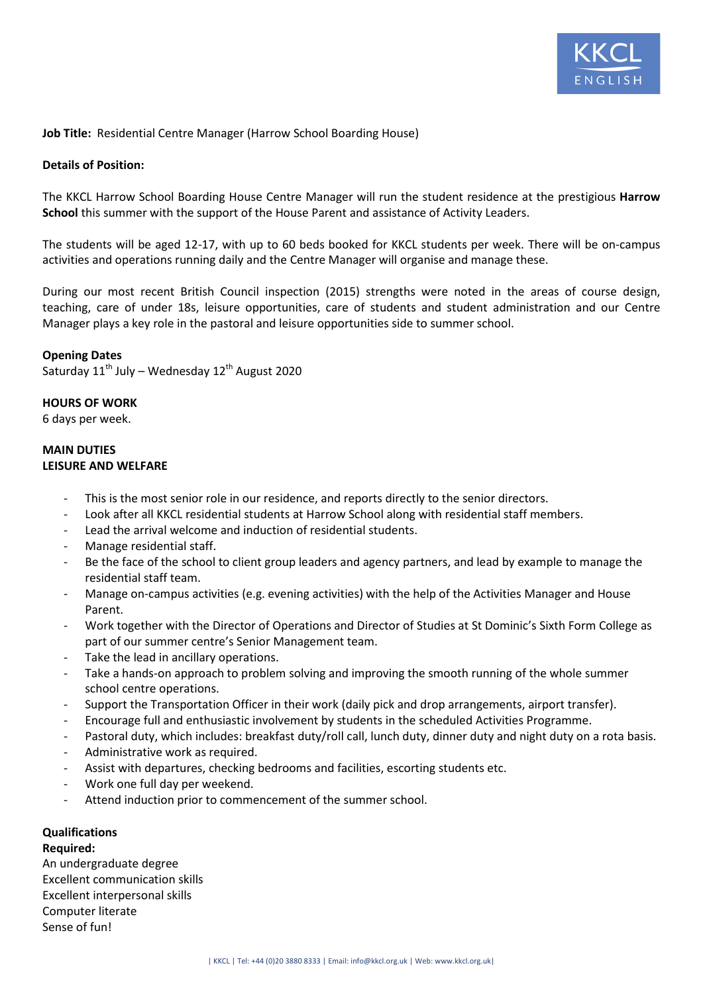

## **Job Title:** Residential Centre Manager (Harrow School Boarding House)

#### **Details of Position:**

The KKCL Harrow School Boarding House Centre Manager will run the student residence at the prestigious **Harrow School** this summer with the support of the House Parent and assistance of Activity Leaders.

The students will be aged 12-17, with up to 60 beds booked for KKCL students per week. There will be on-campus activities and operations running daily and the Centre Manager will organise and manage these.

During our most recent British Council inspection (2015) strengths were noted in the areas of course design, teaching, care of under 18s, leisure opportunities, care of students and student administration and our Centre Manager plays a key role in the pastoral and leisure opportunities side to summer school.

#### **Opening Dates**

Saturday  $11^{th}$  July – Wednesday  $12^{th}$  August 2020

#### **HOURS OF WORK**

6 days per week.

#### **MAIN DUTIES LEISURE AND WELFARE**

- This is the most senior role in our residence, and reports directly to the senior directors.
- Look after all KKCL residential students at Harrow School along with residential staff members.
- Lead the arrival welcome and induction of residential students.
- Manage residential staff.
- Be the face of the school to client group leaders and agency partners, and lead by example to manage the residential staff team.
- Manage on-campus activities (e.g. evening activities) with the help of the Activities Manager and House Parent.
- Work together with the Director of Operations and Director of Studies at St Dominic's Sixth Form College as part of our summer centre's Senior Management team.
- Take the lead in ancillary operations.
- Take a hands-on approach to problem solving and improving the smooth running of the whole summer school centre operations.
- Support the Transportation Officer in their work (daily pick and drop arrangements, airport transfer).
- Encourage full and enthusiastic involvement by students in the scheduled Activities Programme.
- Pastoral duty, which includes: breakfast duty/roll call, lunch duty, dinner duty and night duty on a rota basis.
- Administrative work as required.
- Assist with departures, checking bedrooms and facilities, escorting students etc.
- Work one full day per weekend.
- Attend induction prior to commencement of the summer school.

# **Qualifications**

#### **Required:**

An undergraduate degree Excellent communication skills Excellent interpersonal skills Computer literate Sense of fun!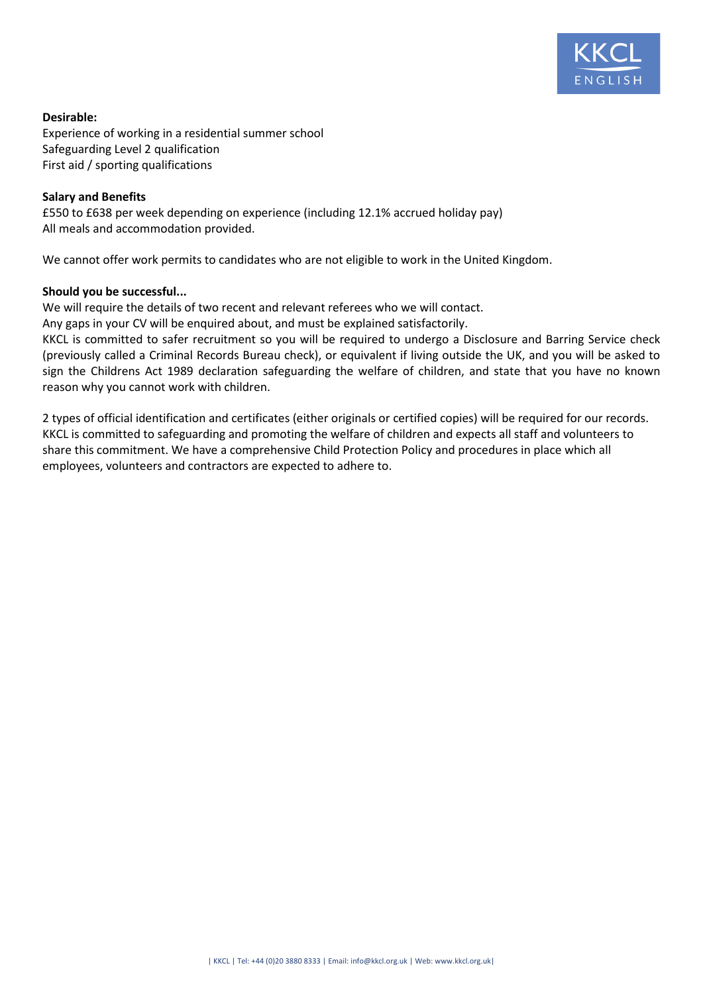

# **Desirable:**

Experience of working in a residential summer school Safeguarding Level 2 qualification First aid / sporting qualifications

## **Salary and Benefits**

£550 to £638 per week depending on experience (including 12.1% accrued holiday pay) All meals and accommodation provided.

We cannot offer work permits to candidates who are not eligible to work in the United Kingdom.

## **Should you be successful...**

We will require the details of two recent and relevant referees who we will contact.

Any gaps in your CV will be enquired about, and must be explained satisfactorily.

KKCL is committed to safer recruitment so you will be required to undergo a Disclosure and Barring Service check (previously called a Criminal Records Bureau check), or equivalent if living outside the UK, and you will be asked to sign the Childrens Act 1989 declaration safeguarding the welfare of children, and state that you have no known reason why you cannot work with children.

2 types of official identification and certificates (either originals or certified copies) will be required for our records. KKCL is committed to safeguarding and promoting the welfare of children and expects all staff and volunteers to share this commitment. We have a comprehensive Child Protection Policy and procedures in place which all employees, volunteers and contractors are expected to adhere to.